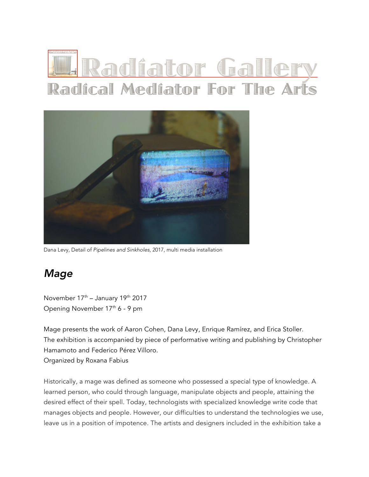## <u> Radíator Galle</u> Radical Mediator For The Arts



Dana Levy, Detail of *Pipelines and Sinkholes*, 2017, multi media installation

## *Mage*

November 17th – January 19th 2017 Opening November 17<sup>th</sup> 6 - 9 pm

Mage presents the work of Aaron Cohen, Dana Levy, Enrique Ramírez, and Erica Stoller. The exhibition is accompanied by piece of performative writing and publishing by Christopher Hamamoto and Federico Pérez Villoro. Organized by Roxana Fabius

Historically, a mage was defined as someone who possessed a special type of knowledge. A learned person, who could through language, manipulate objects and people, attaining the desired effect of their spell. Today, technologists with specialized knowledge write code that manages objects and people. However, our difficulties to understand the technologies we use, leave us in a position of impotence. The artists and designers included in the exhibition take a